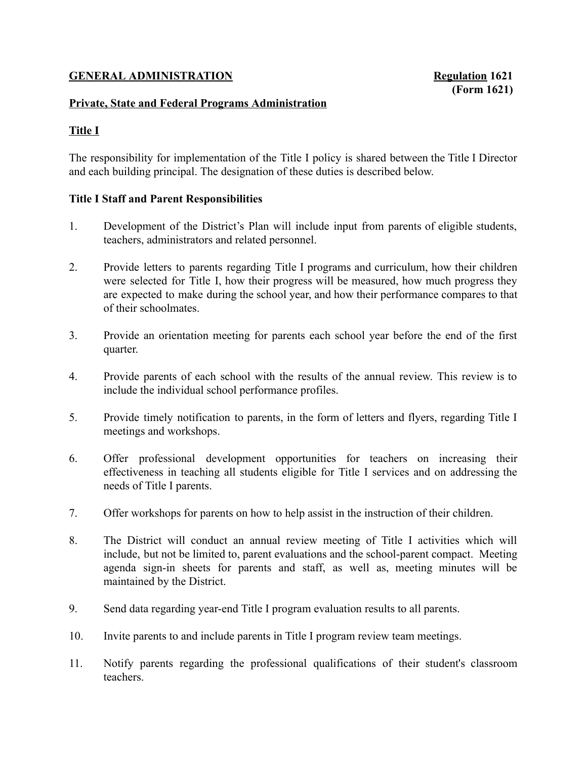## GENERAL ADMINISTRATION Regulation 1621

# (Form 1621)

#### Private, State and Federal Programs Administration

# Title I

The responsibility for implementation of the Title I policy is shared between the Title I Director and each building principal. The designation of these duties is described below.

#### Title I Staff and Parent Responsibilities

- 1. Development of the District's Plan will include input from parents of eligible students, teachers, administrators and related personnel.
- 2. Provide letters to parents regarding Title I programs and curriculum, how their children were selected for Title I, how their progress will be measured, how much progress they are expected to make during the school year, and how their performance compares to that of their schoolmates.
- 3. Provide an orientation meeting for parents each school year before the end of the first quarter.
- 4. Provide parents of each school with the results of the annual review. This review is to include the individual school performance profiles.
- 5. Provide timely notification to parents, in the form of letters and flyers, regarding Title I meetings and workshops.
- 6. Offer professional development opportunities for teachers on increasing their effectiveness in teaching all students eligible for Title I services and on addressing the needs of Title I parents.
- 7. Offer workshops for parents on how to help assist in the instruction of their children.
- 8. The District will conduct an annual review meeting of Title I activities which will include, but not be limited to, parent evaluations and the school-parent compact. Meeting agenda sign-in sheets for parents and staff, as well as, meeting minutes will be maintained by the District.
- 9. Send data regarding year-end Title I program evaluation results to all parents.
- 10. Invite parents to and include parents in Title I program review team meetings.
- 11. Notify parents regarding the professional qualifications of their student's classroom teachers.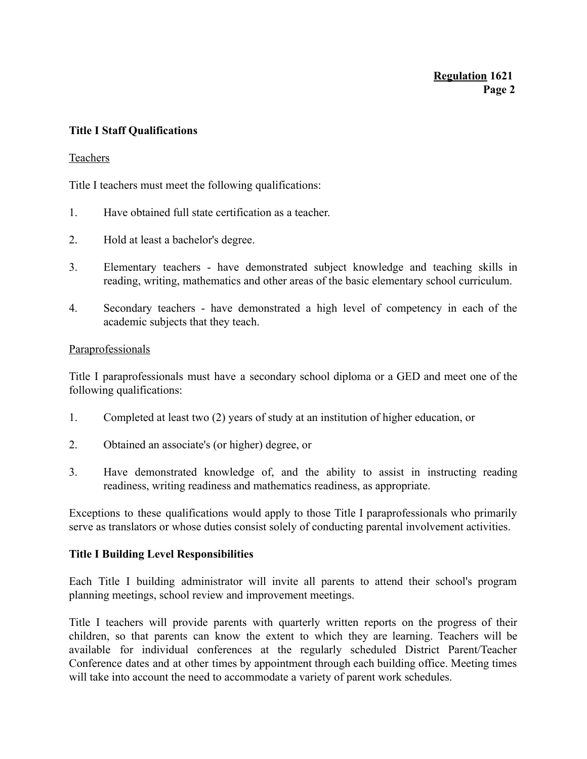## Title I Staff Qualifications

#### Teachers

Title I teachers must meet the following qualifications:

- 1. Have obtained full state certification as a teacher.
- 2. Hold at least a bachelor's degree.
- 3. Elementary teachers have demonstrated subject knowledge and teaching skills in reading, writing, mathematics and other areas of the basic elementary school curriculum.
- 4. Secondary teachers have demonstrated a high level of competency in each of the academic subjects that they teach.

#### Paraprofessionals

Title I paraprofessionals must have a secondary school diploma or a GED and meet one of the following qualifications:

- 1. Completed at least two (2) years of study at an institution of higher education, or
- 2. Obtained an associate's (or higher) degree, or
- 3. Have demonstrated knowledge of, and the ability to assist in instructing reading readiness, writing readiness and mathematics readiness, as appropriate.

Exceptions to these qualifications would apply to those Title I paraprofessionals who primarily serve as translators or whose duties consist solely of conducting parental involvement activities.

#### Title I Building Level Responsibilities

Each Title I building administrator will invite all parents to attend their school's program planning meetings, school review and improvement meetings.

Title I teachers will provide parents with quarterly written reports on the progress of their children, so that parents can know the extent to which they are learning. Teachers will be available for individual conferences at the regularly scheduled District Parent/Teacher Conference dates and at other times by appointment through each building office. Meeting times will take into account the need to accommodate a variety of parent work schedules.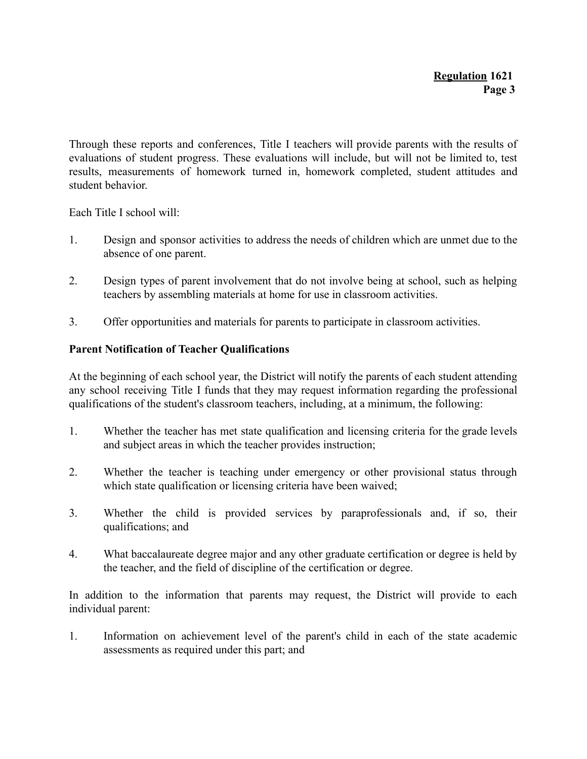Through these reports and conferences, Title I teachers will provide parents with the results of evaluations of student progress. These evaluations will include, but will not be limited to, test results, measurements of homework turned in, homework completed, student attitudes and student behavior.

Each Title I school will:

- 1. Design and sponsor activities to address the needs of children which are unmet due to the absence of one parent.
- 2. Design types of parent involvement that do not involve being at school, such as helping teachers by assembling materials at home for use in classroom activities.
- 3. Offer opportunities and materials for parents to participate in classroom activities.

## Parent Notification of Teacher Qualifications

At the beginning of each school year, the District will notify the parents of each student attending any school receiving Title I funds that they may request information regarding the professional qualifications of the student's classroom teachers, including, at a minimum, the following:

- 1. Whether the teacher has met state qualification and licensing criteria for the grade levels and subject areas in which the teacher provides instruction;
- 2. Whether the teacher is teaching under emergency or other provisional status through which state qualification or licensing criteria have been waived;
- 3. Whether the child is provided services by paraprofessionals and, if so, their qualifications; and
- 4. What baccalaureate degree major and any other graduate certification or degree is held by the teacher, and the field of discipline of the certification or degree.

In addition to the information that parents may request, the District will provide to each individual parent:

1. Information on achievement level of the parent's child in each of the state academic assessments as required under this part; and